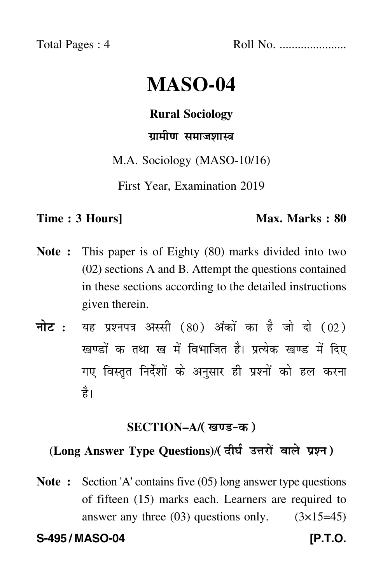Total Pages : 4 Roll No. ......................

# **MASO-04**

#### **Rural Sociology**

### ग्रामीण समाजशास्त्र

M.A. Sociology (MASO-10/16)

First Year, Examination 2019

#### **Time : 3 Hours]** Max. Marks : 80

- **Note :** This paper is of Eighty (80) marks divided into two (02) sections A and B. Attempt the questions contained in these sections according to the detailed instructions given therein.
- नोट : यह प्रश्नपत्र अस्सी (80) अंकों का है जो दो (02) खण्डों क तथा ख में विभाजित है। प्रत्येक खण्ड में दिए गए विस्तृत निर्देशों के अनुसार ही प्रश्नों को हल करन<mark>ा</mark> है।

### **SECTION–A/**

## (Long Answer Type Questions)/( दीर्घ उत्तरों वाले प्रश्न )

**Note :** Section 'A' contains five (05) long answer type questions of fifteen (15) marks each. Learners are required to answer any three  $(03)$  questions only.  $(3\times15=45)$ 

**S-495 / MASO-04 [P.T.O.**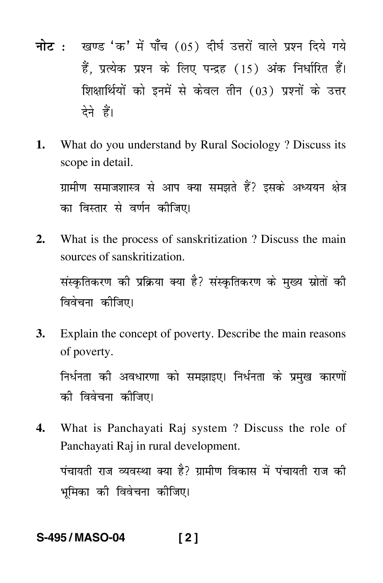- नोट: खण्ड 'क' में पाँच (05) दीर्घ उत्तरों वाले प्रश्न दिये गये हैं. प्रत्येक प्रश्न के लिए पन्द्रह (15) अंक निर्धारित हैं। शिक्षार्थियों को इनमें से केवल तीन (03) प्रश्नों के उत्तर देने हैं।
- 1. What do you understand by Rural Sociology? Discuss its scope in detail.

ग्रामीण समाजशास्त्र से आप क्या समझते हैं? इसके अध्ययन क्षेत्र का विस्तार से वर्णन कीजिए।

 $2.$ What is the process of sanskritization? Discuss the main sources of sanskritization.

संस्कृतिकरण की प्रक्रिया क्या है? संस्कृतिकरण के मख्य स्रोतों की विवेचना कीजिए।

**3.** Explain the concept of poverty. Describe the main reasons of poverty.

निर्धनता की अवधारणा को समझाइए। निर्धनता के प्रमुख कारणों को विवेचना कोजिए।

What is Panchayati Raj system? Discuss the role of  $\mathbf{4}$ Panchavati Raj in rural development.

पंचायती राज व्यवस्था क्या है? ग्रामीण विकास में पंचायती राज की भमिका की विवेचना कोजिए।

#### S-495/MASO-04  $[2]$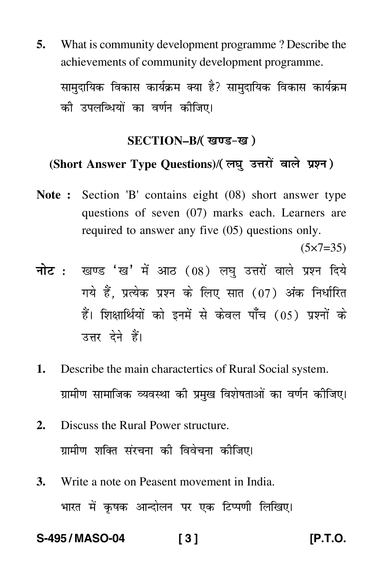**5.** What is community development programme ? Describe the achievements of community development programme. सामुदायिक विकास कार्यक्रम क्या है? सामुदायिक विकास कार्यक्रम

की उपलब्धियों का वर्णन कीजिए।

#### **SECTION–B/**

### (Short Answer Type Questions)/( लघु उत्तरों वाले प्रश्न )

**Note :** Section 'B' contains eight (08) short answer type questions of seven (07) marks each. Learners are required to answer any five (05) questions only.

 $(5 \times 7 = 35)$ 

- <mark>नोट</mark> : खण्ड 'ख' में आठ (08) लघु उत्तरों वाले प्रश्न दिये गये हैं, प्रत्येक प्रश्न के लिए सात (07) अंक निर्धारित हैं। शिक्षार्थियों को इनमें से केवल पाँच (05) प्रश्नों के उत्तर देने हैं।
- **1.** Describe the main charactertics of Rural Social system. ग्रामीण सामाजिक व्यवस्था की प्रमुख विशेषताओं का वर्णन कीजिए।
- **2.** Discuss the Rural Power structure. ग्रामीण शक्ति संरचना की विवेचना कीजिए।
- **3.** Write a note on Peasent movement in India. भारत में कृषक आन्दोलन पर एक टिप्पणी लिखिए।

**S-495 / MASO-04 [ 3 ] [P.T.O.**